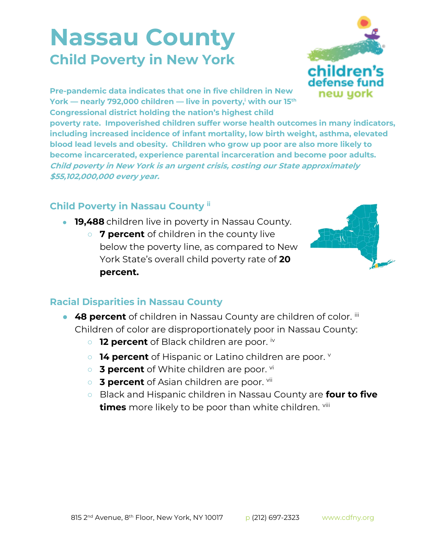## **Nassau County Child Poverty in New York**



**Pre-pandemic data indicates that one in five children in New York — nearly 792,000 children — live in poverty,<sup>i</sup> with our 15th Congressional district holding the nation's highest child** 

**poverty rate. Impoverished children suffer worse health outcomes in many indicators, including increased incidence of infant mortality, low birth weight, asthma, elevated blood lead levels and obesity. Children who grow up poor are also more likely to become incarcerated, experience parental incarceration and become poor adults. Child poverty in New York is an urgent crisis, costing our State approximately \$55,102,000,000 every year.**

## **Child Poverty in Nassau County ii**

- **19,488** children live in poverty in Nassau County.
	- **7 percent** of children in the county live below the poverty line, as compared to New York State's overall child poverty rate of **20 percent.**



## **Racial Disparities in Nassau County**

- **48 percent** of children in Nassau County are children of color. iii Children of color are disproportionately poor in Nassau County:
	- **12 percent** of Black children are poor. iv
	- **14 percent** of Hispanic or Latino children are poor.
	- **3 percent** of White children are poor. <sup>vi</sup>
	- **3 percent** of Asian children are poor. <sup>vii</sup>
	- Black and Hispanic children in Nassau County are **four to five times** more likely to be poor than white children. viii